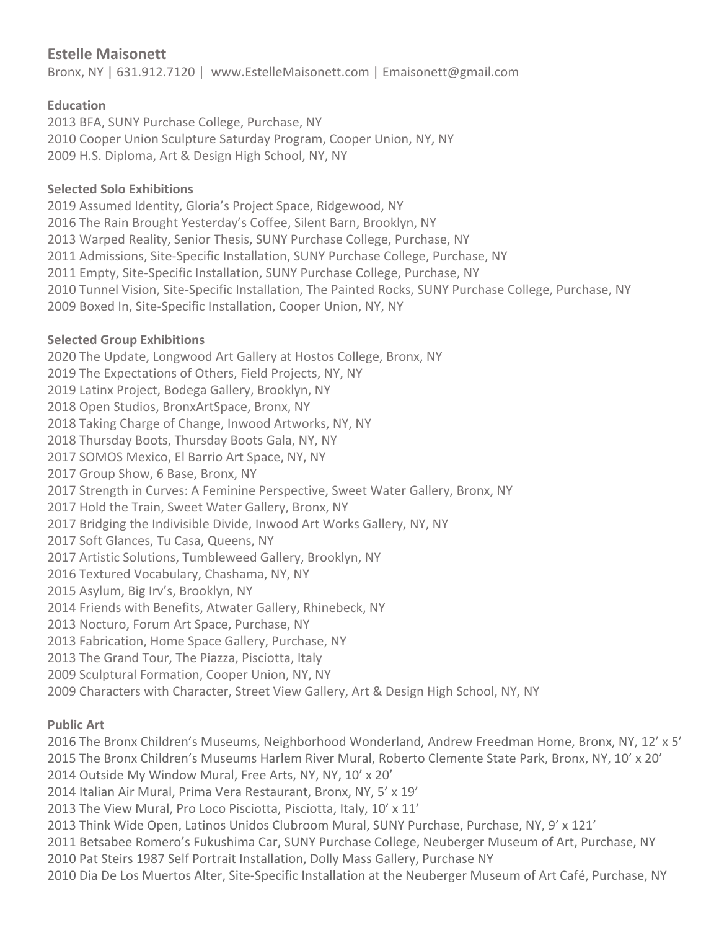# **Estelle Maisonett**

Bronx, NY | 631.912.7120 | [www.EstelleMaisonett.com](http://www.estellemaisonett.com/) | [Emaisonett@gmail.com](mailto:Emaisonett@gmail.com)

### **Education**

2013 BFA, SUNY Purchase College, Purchase, NY 2010 Cooper Union Sculpture Saturday Program, Cooper Union, NY, NY 2009 H.S. Diploma, Art & Design High School, NY, NY

#### **Selected Solo Exhibitions**

2019 Assumed Identity, Gloria's Project Space, Ridgewood, NY 2016 The Rain Brought Yesterday's Coffee, Silent Barn, Brooklyn, NY 2013 Warped Reality, Senior Thesis, SUNY Purchase College, Purchase, NY 2011 Admissions, Site-Specific Installation, SUNY Purchase College, Purchase, NY 2011 Empty, Site-Specific Installation, SUNY Purchase College, Purchase, NY 2010 Tunnel Vision, Site-Specific Installation, The Painted Rocks, SUNY Purchase College, Purchase, NY 2009 Boxed In, Site-Specific Installation, Cooper Union, NY, NY

### **Selected Group Exhibitions**

2020 The Update, Longwood Art Gallery at Hostos College, Bronx, NY 2019 The Expectations of Others, Field Projects, NY, NY 2019 Latinx Project, Bodega Gallery, Brooklyn, NY 2018 Open Studios, BronxArtSpace, Bronx, NY 2018 Taking Charge of Change, Inwood Artworks, NY, NY 2018 Thursday Boots, Thursday Boots Gala, NY, NY 2017 SOMOS Mexico, El Barrio Art Space, NY, NY 2017 Group Show, 6 Base, Bronx, NY 2017 Strength in Curves: A Feminine Perspective, Sweet Water Gallery, Bronx, NY 2017 Hold the Train, Sweet Water Gallery, Bronx, NY 2017 Bridging the Indivisible Divide, Inwood Art Works Gallery, NY, NY 2017 Soft Glances, Tu Casa, Queens, NY 2017 Artistic Solutions, Tumbleweed Gallery, Brooklyn, NY 2016 Textured Vocabulary, Chashama, NY, NY 2015 Asylum, Big Irv's, Brooklyn, NY 2014 Friends with Benefits, Atwater Gallery, Rhinebeck, NY 2013 Nocturo, Forum Art Space, Purchase, NY 2013 Fabrication, Home Space Gallery, Purchase, NY 2013 The Grand Tour, The Piazza, Pisciotta, Italy 2009 Sculptural Formation, Cooper Union, NY, NY 2009 Characters with Character, Street View Gallery, Art & Design High School, NY, NY

## **Public Art**

2016 The Bronx Children's Museums, Neighborhood Wonderland, Andrew Freedman Home, Bronx, NY, 12' x 5' 2015 The Bronx Children's Museums Harlem River Mural, Roberto Clemente State Park, Bronx, NY, 10' x 20' 2014 Outside My Window Mural, Free Arts, NY, NY, 10' x 20'

2014 Italian Air Mural, Prima Vera Restaurant, Bronx, NY, 5' x 19'

2013 The View Mural, Pro Loco Pisciotta, Pisciotta, Italy, 10' x 11'

2013 Think Wide Open, Latinos Unidos Clubroom Mural, SUNY Purchase, Purchase, NY, 9' x 121'

2011 Betsabee Romero's Fukushima Car, SUNY Purchase College, Neuberger Museum of Art, Purchase, NY

2010 Pat Steirs 1987 Self Portrait Installation, Dolly Mass Gallery, Purchase NY

2010 Dia De Los Muertos Alter, Site-Specific Installation at the Neuberger Museum of Art Café, Purchase, NY